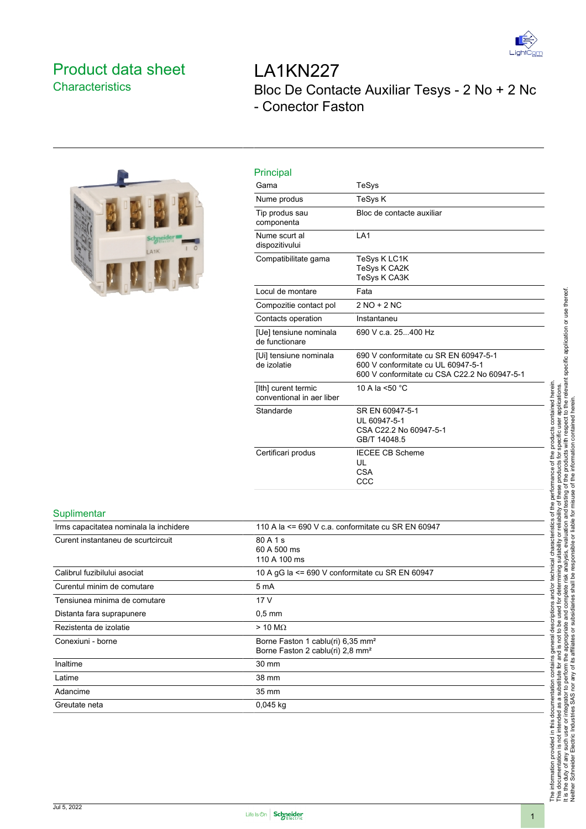

## <span id="page-0-0"></span>Product data sheet **Characteristics**



# LA1KN227 Bloc De Contacte Auxiliar Tesys - 2 No + 2 Nc - Conector Faston

| Gama                                             | TeSys                                                                                                                       |
|--------------------------------------------------|-----------------------------------------------------------------------------------------------------------------------------|
| Nume produs                                      | <b>TeSys K</b>                                                                                                              |
| Tip produs sau<br>componenta                     | Bloc de contacte auxiliar                                                                                                   |
| Nume scurt al<br>dispozitivului                  | LA <sub>1</sub>                                                                                                             |
| Compatibilitate gama                             | TeSys K LC1K<br><b>TeSys K CA2K</b><br><b>TeSys K CA3K</b>                                                                  |
| Locul de montare                                 | Fata                                                                                                                        |
| Compozitie contact pol                           | $2 NO + 2 NC$                                                                                                               |
| Contacts operation                               | Instantaneu                                                                                                                 |
| [Ue] tensiune nominala<br>de functionare         | 690 V c.a. 25400 Hz                                                                                                         |
| [Ui] tensiune nominala<br>de izolatie            | 690 V conformitate cu SR EN 60947-5-1<br>600 V conformitate cu UL 60947-5-1<br>600 V conformitate cu CSA C22.2 No 60947-5-1 |
| [Ith] curent termic<br>conventional in aer liber | 10 A la <50 °C                                                                                                              |
| Standarde                                        | SR EN 60947-5-1<br>UL 60947-5-1<br>CSA C22.2 No 60947-5-1<br>GB/T 14048.5                                                   |
| Certificari produs                               | <b>IECEE CB Scheme</b><br>UL<br><b>CSA</b><br>CCC                                                                           |

#### **Suplimentar**

| 110 A la $\leq$ 690 V c.a. conformitate cu SR EN 60947                                        |
|-----------------------------------------------------------------------------------------------|
| 80 A 1 s<br>60 A 500 ms<br>110 A 100 ms                                                       |
| 10 A gG la $\leq$ 690 V conformitate cu SR EN 60947                                           |
| 5 mA                                                                                          |
| 17 V                                                                                          |
| $0.5 \text{ mm}$                                                                              |
| $>$ 10 M $\Omega$                                                                             |
| Borne Faston 1 cablu(ri) 6,35 mm <sup>2</sup><br>Borne Faston 2 cablu(ri) 2,8 mm <sup>2</sup> |
| 30 mm                                                                                         |
| 38 mm                                                                                         |
| 35 mm                                                                                         |
| $0,045$ kg                                                                                    |
|                                                                                               |